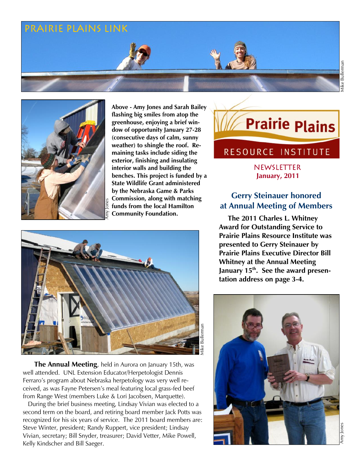# Prairie plains Link



**Above - Amy Jones and Sarah Bailey flashing big smiles from atop the greenhouse, enjoying a brief window of opportunity January 27-28 (consecutive days of calm, sunny weather) to shingle the roof. Remaining tasks include siding the exterior, finishing and insulating interior walls and building the benches. This project is funded by a State Wildlife Grant administered by the Nebraska Game & Parks Commission, along with matching funds from the local Hamilton Community Foundation.**



 **The Annual Meeting**, held in Aurora on January 15th, was well attended. UNL Extension Educator/Herpetologist Dennis Ferraro's program about Nebraska herpetology was very well received, as was Fayne Petersen's meal featuring local grass-fed beef from Range West (members Luke & Lori Jacobsen, Marquette).

 During the brief business meeting, Lindsay Vivian was elected to a second term on the board, and retiring board member Jack Potts was recognized for his six years of service. The 2011 board members are: Steve Winter, president; Randy Ruppert, vice president; Lindsay Vivian, secretary; Bill Snyder, treasurer; David Vetter, Mike Powell, Kelly Kindscher and Bill Saeger.

# **Prairie Plains**

Mike Bullerman

Viike Bullerman

## RESOURCE INSTITUTE

newsletter **January, 2011**

## **Gerry Steinauer honored at Annual Meeting of Members**

 **The 2011 Charles L. Whitney Award for Outstanding Service to Prairie Plains Resource Institute was presented to Gerry Steinauer by Prairie Plains Executive Director Bill Whitney at the Annual Meeting January 15th. See the award presentation address on page 3-4.**

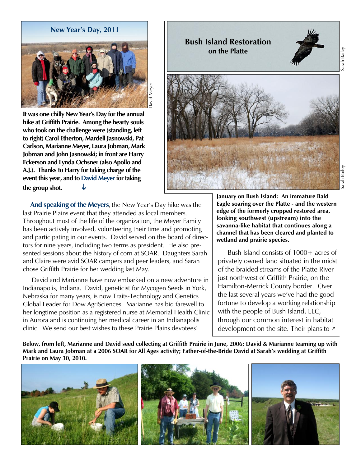

**It was one chilly New Year's Day for the annual hike at Griffith Prairie. Among the hearty souls who took on the challenge were (standing, left to right) Carol Etherton, Mardell Jasnowski, Pat Carlson, Marianne Meyer, Laura Jobman, Mark Jobman and John Jasnowski; in front are Harry Eckerson and Lynda Ochsner (also Apollo and A.J.). Thanks to Harry for taking charge of the event this year, and to David Meyer for taking the group shot.** 

 **And speaking of the Meyers**, the New Year's Day hike was the last Prairie Plains event that they attended as local members. Throughout most of the life of the organization, the Meyer Family has been actively involved, volunteering their time and promoting and participating in our events. David served on the board of directors for nine years, including two terms as president. He also presented sessions about the history of corn at SOAR. Daughters Sarah and Claire were avid SOAR campers and peer leaders, and Sarah chose Griffith Prairie for her wedding last May.

 David and Marianne have now embarked on a new adventure in Indianapolis, Indiana. David, geneticist for Mycogen Seeds in York, Nebraska for many years, is now Traits-Technology and Genetics Global Leader for Dow AgriSciences. Marianne has bid farewell to her longtime position as a registered nurse at Memorial Health Clinic in Aurora and is continuing her medical career in an Indianapolis clinic. We send our best wishes to these Prairie Plains devotees!



**January on Bush Island: An immature Bald Eagle soaring over the Platte - and the western edge of the formerly cropped restored area, looking southwest (upstream) into the savanna-like habitat that continues along a channel that has been cleared and planted to wetland and prairie species.**

 Bush Island consists of 1000+ acres of privately owned land situated in the midst of the braided streams of the Platte River just northwest of Griffith Prairie, on the Hamilton-Merrick County border. Over the last several years we've had the good fortune to develop a working relationship with the people of Bush Island, LLC, through our common interest in habitat development on the site. Their plans to  $\lambda$ 

**Below, from left, Marianne and David seed collecting at Griffith Prairie in June, 2006; David & Marianne teaming up with Mark and Laura Jobman at a 2006 SOAR for All Ages activity; Father-of-the-Bride David at Sarah's wedding at Griffith Prairie on May 30, 2010.**

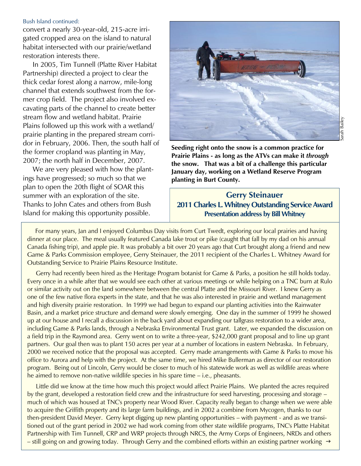#### Bush Island continued:

convert a nearly 30-year-old, 215-acre irrigated cropped area on the island to natural habitat intersected with our prairie/wetland restoration interests there.

 In 2005, Tim Tunnell (Platte River Habitat Partnership) directed a project to clear the thick cedar forest along a narrow, mile-long channel that extends southwest from the former crop field. The project also involved excavating parts of the channel to create better stream flow and wetland habitat. Prairie Plains followed up this work with a wetland/ prairie planting in the prepared stream corridor in February, 2006. Then, the south half of the former cropland was planting in May, 2007; the north half in December, 2007.

We are very pleased with how the plantings have progressed; so much so that we plan to open the 20th flight of SOAR this summer with an exploration of the site. Thanks to John Cates and others from Bush Island for making this opportunity possible.



**Seeding right onto the snow is a common practice for Prairie Plains - as long as the ATVs can make it** *through* **the snow. That was a bit of a challenge this particular January day, working on a Wetland Reserve Program planting in Burt County.**

## **Gerry Steinauer 2011 Charles L. Whitney Outstanding Service Award Presentation address by Bill Whitney**

 For many years, Jan and I enjoyed Columbus Day visits from Curt Twedt, exploring our local prairies and having dinner at our place. The meal usually featured Canada lake trout or pike (caught that fall by my dad on his annual Canada fishing trip), and apple pie. It was probably a bit over 20 years ago that Curt brought along a friend and new Game & Parks Commission employee, Gerry Steinauer, the 2011 recipient of the Charles L. Whitney Award for Outstanding Service to Prairie Plains Resource Institute.

 Gerry had recently been hired as the Heritage Program botanist for Game & Parks, a position he still holds today. Every once in a while after that we would see each other at various meetings or while helping on a TNC burn at Rulo or similar activity out on the land somewhere between the central Platte and the Missouri River. I knew Gerry as one of the few native flora experts in the state, and that he was also interested in prairie and wetland management and high diversity prairie restoration. In 1999 we had begun to expand our planting activities into the Rainwater Basin, and a market price structure and demand were slowly emerging. One day in the summer of 1999 he showed up at our house and I recall a discussion in the back yard about expanding our tallgrass restoration to a wider area, including Game & Parks lands, through a Nebraska Environmental Trust grant. Later, we expanded the discussion on a field trip in the Raymond area. Gerry went on to write a three-year, \$242,000 grant proposal and to line up grant partners. Our goal then was to plant 150 acres per year at a number of locations in eastern Nebraska. In February, 2000 we received notice that the proposal was accepted. Gerry made arrangements with Game & Parks to move his office to Aurora and help with the project. At the same time, we hired Mike Bullerman as director of our restoration program. Being out of Lincoln, Gerry would be closer to much of his statewide work as well as wildlife areas where he aimed to remove non-native wildlife species in his spare time – i.e., pheasants.

 Little did we know at the time how much this project would affect Prairie Plains. We planted the acres required by the grant, developed a restoration field crew and the infrastructure for seed harvesting, processing and storage – much of which was housed at TNC's property near Wood River. Capacity really began to change when we were able to acquire the Griffith property and its large farm buildings, and in 2002 a combine from Mycogen, thanks to our then-president David Meyer. Gerry kept digging up new planting opportunities – with payment - and as we transitioned out of the grant period in 2002 we had work coming from other state wildlife programs, TNC's Platte Habitat Partnership with Tim Tunnell, CRP and WRP projects through NRCS, the Army Corps of Engineers, NRDs and others – still going on and growing today. Through Gerry and the combined efforts within an existing partner working  $\rightarrow$